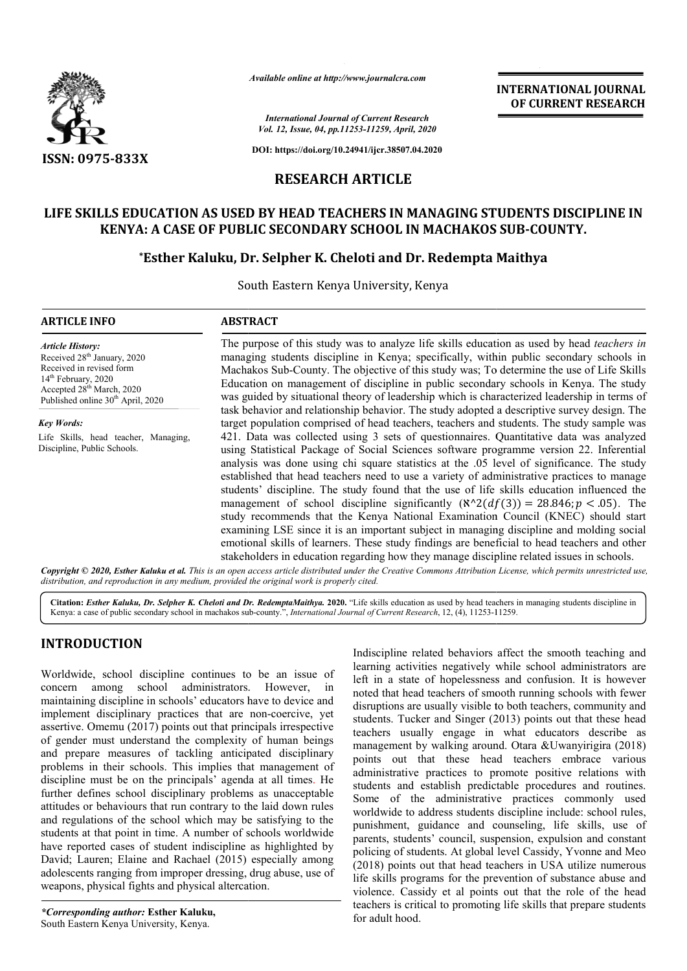

*Available online at http://www.journalcra.com*

# **LIFE SKILLS EDUCATION AS USED BY HEAD TEACHERS IN MANAGING STUDENTS DISCIPLINE IN**  LLS EDUCATION AS USED BY HEAD TEACHERS IN MANAGING STUDENTS DISCI<br>KENYA: A CASE OF PUBLIC SECONDARY SCHOOL IN MACHAKOS SUB-COUNTY.

# **\*Esther Kaluku, Dr. Selpher K. Cheloti and Dr. Redempta Maithya Esther**

|                                                  | <b>INTERNATIONAL JOURNAL</b><br>OF CURRENT RESEARCH                                                                                                                                                                                                                                                                                                                                                                                                                                                                                                                                                                                                                                                                                                                                                                                                                                                                                                                                                                                                                                                                                                                                                                                                                                                              |  |  |  |  |  |
|--------------------------------------------------|------------------------------------------------------------------------------------------------------------------------------------------------------------------------------------------------------------------------------------------------------------------------------------------------------------------------------------------------------------------------------------------------------------------------------------------------------------------------------------------------------------------------------------------------------------------------------------------------------------------------------------------------------------------------------------------------------------------------------------------------------------------------------------------------------------------------------------------------------------------------------------------------------------------------------------------------------------------------------------------------------------------------------------------------------------------------------------------------------------------------------------------------------------------------------------------------------------------------------------------------------------------------------------------------------------------|--|--|--|--|--|
|                                                  | <b>International Journal of Current Research</b><br>Vol. 12, Issue, 04, pp.11253-11259, April, 2020                                                                                                                                                                                                                                                                                                                                                                                                                                                                                                                                                                                                                                                                                                                                                                                                                                                                                                                                                                                                                                                                                                                                                                                                              |  |  |  |  |  |
| DOI: https://doi.org/10.24941/ijcr.38507.04.2020 |                                                                                                                                                                                                                                                                                                                                                                                                                                                                                                                                                                                                                                                                                                                                                                                                                                                                                                                                                                                                                                                                                                                                                                                                                                                                                                                  |  |  |  |  |  |
|                                                  |                                                                                                                                                                                                                                                                                                                                                                                                                                                                                                                                                                                                                                                                                                                                                                                                                                                                                                                                                                                                                                                                                                                                                                                                                                                                                                                  |  |  |  |  |  |
|                                                  | LIFE SKILLS EDUCATION AS USED BY HEAD TEACHERS IN MANAGING STUDENTS DISCIPLINE IN<br><b>KENYA: A CASE OF PUBLIC SECONDARY SCHOOL IN MACHAKOS SUB-COUNTY.</b><br>*Esther Kaluku, Dr. Selpher K. Cheloti and Dr. Redempta Maithya                                                                                                                                                                                                                                                                                                                                                                                                                                                                                                                                                                                                                                                                                                                                                                                                                                                                                                                                                                                                                                                                                  |  |  |  |  |  |
|                                                  |                                                                                                                                                                                                                                                                                                                                                                                                                                                                                                                                                                                                                                                                                                                                                                                                                                                                                                                                                                                                                                                                                                                                                                                                                                                                                                                  |  |  |  |  |  |
| <b>ABSTRACT</b>                                  |                                                                                                                                                                                                                                                                                                                                                                                                                                                                                                                                                                                                                                                                                                                                                                                                                                                                                                                                                                                                                                                                                                                                                                                                                                                                                                                  |  |  |  |  |  |
|                                                  | The purpose of this study was to analyze life skills education as used by head teachers in<br>managing students discipline in Kenya; specifically, within public secondary schools in<br>Machakos Sub-County. The objective of this study was; To determine the use of Life Skills<br>Education on management of discipline in public secondary schools in Kenya. The study<br>was guided by situational theory of leadership which is characterized leadership in terms of<br>task behavior and relationship behavior. The study adopted a descriptive survey design. The                                                                                                                                                                                                                                                                                                                                                                                                                                                                                                                                                                                                                                                                                                                                       |  |  |  |  |  |
|                                                  | target population comprised of head teachers, teachers and students. The study sample was<br>421. Data was collected using 3 sets of questionnaires. Quantitative data was analyzed<br>using Statistical Package of Social Sciences software programme version 22. Inferential<br>analysis was done using chi square statistics at the .05 level of significance. The study<br>established that head teachers need to use a variety of administrative practices to manage<br>students' discipline. The study found that the use of life skills education influenced the<br>management of school discipline significantly $(\aleph^2 2(df(3)) = 28.846; p < .05)$ . The<br>study recommends that the Kenya National Examination Council (KNEC) should start<br>examining LSE since it is an important subject in managing discipline and molding social<br>emotional skills of learners. These study findings are beneficial to head teachers and other                                                                                                                                                                                                                                                                                                                                                           |  |  |  |  |  |
|                                                  | stakeholders in education regarding how they manage discipline related issues in schools.<br>Copyright © 2020, Esther Kaluku et al. This is an open access article distributed under the Creative Commons Attribution License, which permits unrestricted use,<br>Citation: <i>Esther Kaluku, Dr. Selpher K. Cheloti and Dr. RedemptaMaithya.</i> 2020. "Life skills education as used by head teachers in managing students discipline in                                                                                                                                                                                                                                                                                                                                                                                                                                                                                                                                                                                                                                                                                                                                                                                                                                                                       |  |  |  |  |  |
|                                                  | Kenya: a case of public secondary school in machakos sub-county.", International Journal of Current Research, 12, (4), 11253-11259.                                                                                                                                                                                                                                                                                                                                                                                                                                                                                                                                                                                                                                                                                                                                                                                                                                                                                                                                                                                                                                                                                                                                                                              |  |  |  |  |  |
| However,<br>1n                                   | Indiscipline related behaviors affect the smooth teaching and<br>learning activities negatively while school administrators are<br>left in a state of hopelessness and confusion. It is however<br>noted that head teachers of smooth running schools with fewer<br>disruptions are usually visible to both teachers, community and<br>students. Tucker and Singer (2013) points out that these head<br>teachers usually engage in what educators describe as<br>management by walking around. Otara & Uwanyirigira (2018)<br>points out that these head teachers embrace various<br>administrative practices to promote positive relations with<br>students and establish predictable procedures and routines.<br>Some of the administrative practices commonly used<br>worldwide to address students discipline include: school rules,<br>punishment, guidance and counseling, life skills, use of<br>parents, students' council, suspension, expulsion and constant<br>policing of students. At global level Cassidy, Yvonne and Meo<br>(2018) points out that head teachers in USA utilize numerous<br>life skills programs for the prevention of substance abuse and<br>violence. Cassidy et al points out that the role of the head<br>teachers is critical to promoting life skills that prepare students |  |  |  |  |  |
|                                                  | <b>RESEARCH ARTICLE</b><br>South Eastern Kenya University, Kenya<br>distribution, and reproduction in any medium, provided the original work is properly cited.<br>Worldwide, school discipline continues to be an issue of<br>administrators.<br>maintaining discipline in schools' educators have to device and<br>implement disciplinary practices that are non-coercive, yet<br>assertive. Omemu (2017) points out that principals irrespective<br>of gender must understand the complexity of human beings<br>and prepare measures of tackling anticipated disciplinary<br>problems in their schools. This implies that management of<br>discipline must be on the principals' agenda at all times. He<br>further defines school disciplinary problems as unacceptable<br>attitudes or behaviours that run contrary to the laid down rules<br>and regulations of the school which may be satisfying to the<br>students at that point in time. A number of schools worldwide<br>have reported cases of student indiscipline as highlighted by<br>David; Lauren; Elaine and Rachael (2015) especially among<br>adolescents ranging from improper dressing, drug abuse, use of<br>weapons, physical fights and physical altercation.                                                                           |  |  |  |  |  |

# **INTRODUCTION**

Indiscipline related behaviors affect the smooth teaching and learning activities negatively while school administrators are left in a state of hopelessness and confusion. It is however noted that head teachers of smooth running schools with fewer disruptions are usually visible to both teachers, community and students. Tucker and Singer (2013) points out that these head teachers usually engage in what educators describe as management by walking around. Otara &Uwanyirigira (2018) points out that these head teachers embrace various administrative practices to promote positive relations with students and establish predictable procedures and routines. Some of the administrative practices commonly used worldwide to address students discipline include: school rules, punishment, guidance and counseling, life skills, use of Some of the administrative practices commonly used<br>worldwide to address students discipline include: school rules,<br>punishment, guidance and counseling, life skills, use of<br>parents, students' council, suspension, expulsion policing of students. At global level Cassidy, Yvonne and Meo (2018) points out that head teachers in USA utilize numerous life skills programs for the prevention of substance abuse and violence. Cassidy et al points out that the role of the head teachers is critical to promoting life skills that prepare students for adult hood. ipline related behaviors affect the smooth teaching and<br>
1g activities negatively while school administrators are<br>
1 a state of hopelessness and confusion. It is however<br>
that head teachers of smooth running schools with f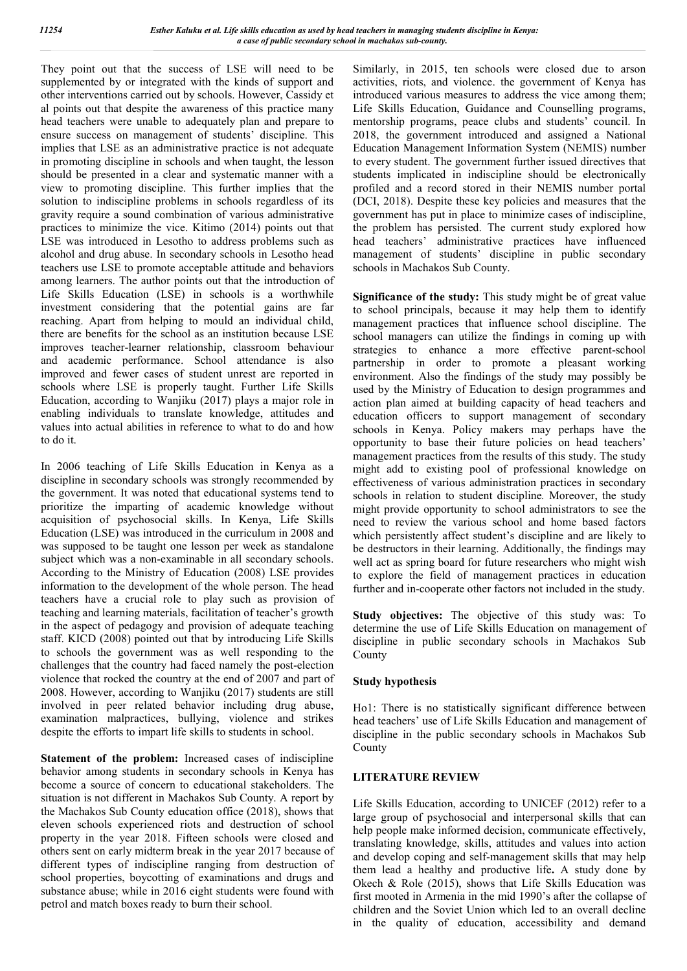They point out that the success of LSE will need to be supplemented by or integrated with the kinds of support and other interventions carried out by schools. However, Cassidy et al points out that despite the awareness of this practice many head teachers were unable to adequately plan and prepare to ensure success on management of students' discipline. This implies that LSE as an administrative practice is not adequate in promoting discipline in schools and when taught, the lesson should be presented in a clear and systematic manner with a view to promoting discipline. This further implies that the solution to indiscipline problems in schools regardless of its gravity require a sound combination of various administrative practices to minimize the vice. Kitimo (2014) points out that LSE was introduced in Lesotho to address problems such as alcohol and drug abuse. In secondary schools in Lesotho head teachers use LSE to promote acceptable attitude and behaviors among learners. The author points out that the introduction of Life Skills Education (LSE) in schools is a worthwhile investment considering that the potential gains are far reaching. Apart from helping to mould an individual child, there are benefits for the school as an institution because LSE improves teacher-learner relationship, classroom behaviour and academic performance. School attendance is also improved and fewer cases of student unrest are reported in schools where LSE is properly taught. Further Life Skills Education, according to Wanjiku (2017) plays a major role in enabling individuals to translate knowledge, attitudes and values into actual abilities in reference to what to do and how to do it.

In 2006 teaching of Life Skills Education in Kenya as a discipline in secondary schools was strongly recommended by the government. It was noted that educational systems tend to prioritize the imparting of academic knowledge without acquisition of psychosocial skills. In Kenya, Life Skills Education (LSE) was introduced in the curriculum in 2008 and was supposed to be taught one lesson per week as standalone subject which was a non-examinable in all secondary schools. According to the Ministry of Education (2008) LSE provides information to the development of the whole person. The head teachers have a crucial role to play such as provision of teaching and learning materials, facilitation of teacher's growth in the aspect of pedagogy and provision of adequate teaching staff. KICD (2008) pointed out that by introducing Life Skills to schools the government was as well responding to the challenges that the country had faced namely the post-election violence that rocked the country at the end of 2007 and part of 2008. However, according to Wanjiku (2017) students are still involved in peer related behavior including drug abuse, examination malpractices, bullying, violence and strikes despite the efforts to impart life skills to students in school.

**Statement of the problem:** Increased cases of indiscipline behavior among students in secondary schools in Kenya has become a source of concern to educational stakeholders. The situation is not different in Machakos Sub County. A report by the Machakos Sub County education office (2018), shows that eleven schools experienced riots and destruction of school property in the year 2018. Fifteen schools were closed and others sent on early midterm break in the year 2017 because of different types of indiscipline ranging from destruction of school properties, boycotting of examinations and drugs and substance abuse; while in 2016 eight students were found with petrol and match boxes ready to burn their school.

Similarly, in 2015, ten schools were closed due to arson activities, riots, and violence. the government of Kenya has introduced various measures to address the vice among them; Life Skills Education, Guidance and Counselling programs, mentorship programs, peace clubs and students' council. In 2018, the government introduced and assigned a National Education Management Information System (NEMIS) number to every student. The government further issued directives that students implicated in indiscipline should be electronically profiled and a record stored in their NEMIS number portal (DCI, 2018). Despite these key policies and measures that the government has put in place to minimize cases of indiscipline, the problem has persisted. The current study explored how head teachers' administrative practices have influenced management of students' discipline in public secondary schools in Machakos Sub County.

**Significance of the study:** This study might be of great value to school principals, because it may help them to identify management practices that influence school discipline. The school managers can utilize the findings in coming up with strategies to enhance a more effective parent-school partnership in order to promote a pleasant working environment. Also the findings of the study may possibly be used by the Ministry of Education to design programmes and action plan aimed at building capacity of head teachers and education officers to support management of secondary schools in Kenya. Policy makers may perhaps have the opportunity to base their future policies on head teachers' management practices from the results of this study. The study might add to existing pool of professional knowledge on effectiveness of various administration practices in secondary schools in relation to student discipline*.* Moreover, the study might provide opportunity to school administrators to see the need to review the various school and home based factors which persistently affect student's discipline and are likely to be destructors in their learning. Additionally, the findings may well act as spring board for future researchers who might wish to explore the field of management practices in education further and in-cooperate other factors not included in the study.

**Study objectives:** The objective of this study was: To determine the use of Life Skills Education on management of discipline in public secondary schools in Machakos Sub County

## **Study hypothesis**

Ho1: There is no statistically significant difference between head teachers' use of Life Skills Education and management of discipline in the public secondary schools in Machakos Sub County

## **LITERATURE REVIEW**

Life Skills Education, according to UNICEF (2012) refer to a large group of psychosocial and interpersonal skills that can help people make informed decision, communicate effectively, translating knowledge, skills, attitudes and values into action and develop coping and self-management skills that may help them lead a healthy and productive life**.** A study done by Okech & Role (2015), shows that Life Skills Education was first mooted in Armenia in the mid 1990's after the collapse of children and the Soviet Union which led to an overall decline in the quality of education, accessibility and demand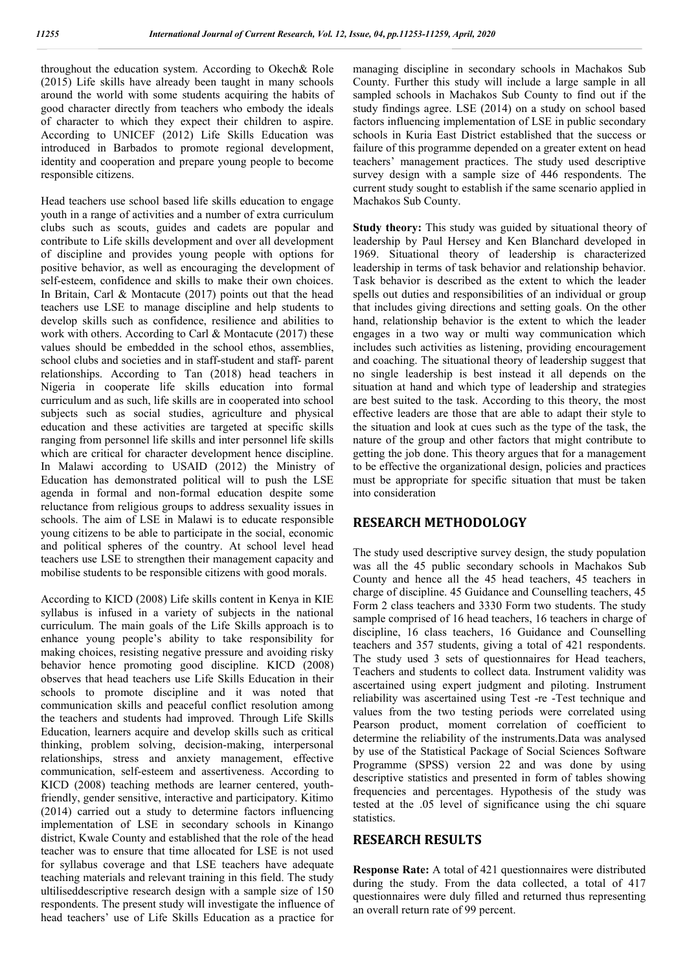throughout the education system. According to Okech& Role (2015) Life skills have already been taught in many schools around the world with some students acquiring the habits of good character directly from teachers who embody the ideals of character to which they expect their children to aspire. According to UNICEF (2012) Life Skills Education was introduced in Barbados to promote regional development, identity and cooperation and prepare young people to become responsible citizens.

Head teachers use school based life skills education to engage youth in a range of activities and a number of extra curriculum clubs such as scouts, guides and cadets are popular and contribute to Life skills development and over all development of discipline and provides young people with options for positive behavior, as well as encouraging the development of self-esteem, confidence and skills to make their own choices. In Britain, Carl & Montacute (2017) points out that the head teachers use LSE to manage discipline and help students to develop skills such as confidence, resilience and abilities to work with others. According to Carl & Montacute (2017) these values should be embedded in the school ethos, assemblies, school clubs and societies and in staff-student and staff- parent relationships. According to Tan (2018) head teachers in Nigeria in cooperate life skills education into formal curriculum and as such, life skills are in cooperated into school subjects such as social studies, agriculture and physical education and these activities are targeted at specific skills ranging from personnel life skills and inter personnel life skills which are critical for character development hence discipline. In Malawi according to USAID (2012) the Ministry of Education has demonstrated political will to push the LSE agenda in formal and non-formal education despite some reluctance from religious groups to address sexuality issues in schools. The aim of LSE in Malawi is to educate responsible young citizens to be able to participate in the social, economic and political spheres of the country. At school level head teachers use LSE to strengthen their management capacity and mobilise students to be responsible citizens with good morals.

According to KICD (2008) Life skills content in Kenya in KIE syllabus is infused in a variety of subjects in the national curriculum. The main goals of the Life Skills approach is to enhance young people's ability to take responsibility for making choices, resisting negative pressure and avoiding risky behavior hence promoting good discipline. KICD (2008) observes that head teachers use Life Skills Education in their schools to promote discipline and it was noted that communication skills and peaceful conflict resolution among the teachers and students had improved. Through Life Skills Education, learners acquire and develop skills such as critical thinking, problem solving, decision-making, interpersonal relationships, stress and anxiety management, effective communication, self-esteem and assertiveness. According to KICD (2008) teaching methods are learner centered, youthfriendly, gender sensitive, interactive and participatory. Kitimo (2014) carried out a study to determine factors influencing implementation of LSE in secondary schools in Kinango district, Kwale County and established that the role of the head teacher was to ensure that time allocated for LSE is not used for syllabus coverage and that LSE teachers have adequate teaching materials and relevant training in this field. The study ultiliseddescriptive research design with a sample size of 150 respondents. The present study will investigate the influence of head teachers' use of Life Skills Education as a practice for

managing discipline in secondary schools in Machakos Sub County. Further this study will include a large sample in all sampled schools in Machakos Sub County to find out if the study findings agree. LSE (2014) on a study on school based factors influencing implementation of LSE in public secondary schools in Kuria East District established that the success or failure of this programme depended on a greater extent on head teachers' management practices. The study used descriptive survey design with a sample size of 446 respondents. The current study sought to establish if the same scenario applied in Machakos Sub County.

**Study theory:** This study was guided by situational theory of leadership by Paul Hersey and Ken Blanchard developed in 1969. Situational theory of leadership is characterized leadership in terms of task behavior and relationship behavior. Task behavior is described as the extent to which the leader spells out duties and responsibilities of an individual or group that includes giving directions and setting goals. On the other hand, relationship behavior is the extent to which the leader engages in a two way or multi way communication which includes such activities as listening, providing encouragement and coaching. The situational theory of leadership suggest that no single leadership is best instead it all depends on the situation at hand and which type of leadership and strategies are best suited to the task. According to this theory, the most effective leaders are those that are able to adapt their style to the situation and look at cues such as the type of the task, the nature of the group and other factors that might contribute to getting the job done. This theory argues that for a management to be effective the organizational design, policies and practices must be appropriate for specific situation that must be taken into consideration

# **RESEARCH METHODOLOGY**

The study used descriptive survey design, the study population was all the 45 public secondary schools in Machakos Sub County and hence all the 45 head teachers, 45 teachers in charge of discipline. 45 Guidance and Counselling teachers, 45 Form 2 class teachers and 3330 Form two students. The study sample comprised of 16 head teachers, 16 teachers in charge of discipline, 16 class teachers, 16 Guidance and Counselling teachers and 357 students, giving a total of 421 respondents. The study used 3 sets of questionnaires for Head teachers, Teachers and students to collect data. Instrument validity was ascertained using expert judgment and piloting. Instrument reliability was ascertained using Test -re -Test technique and values from the two testing periods were correlated using Pearson product, moment correlation of coefficient to determine the reliability of the instruments.Data was analysed by use of the Statistical Package of Social Sciences Software Programme (SPSS) version 22 and was done by using descriptive statistics and presented in form of tables showing frequencies and percentages. Hypothesis of the study was tested at the .05 level of significance using the chi square statistics.

## **RESEARCH RESULTS**

**Response Rate:** A total of 421 questionnaires were distributed during the study. From the data collected, a total of 417 questionnaires were duly filled and returned thus representing an overall return rate of 99 percent.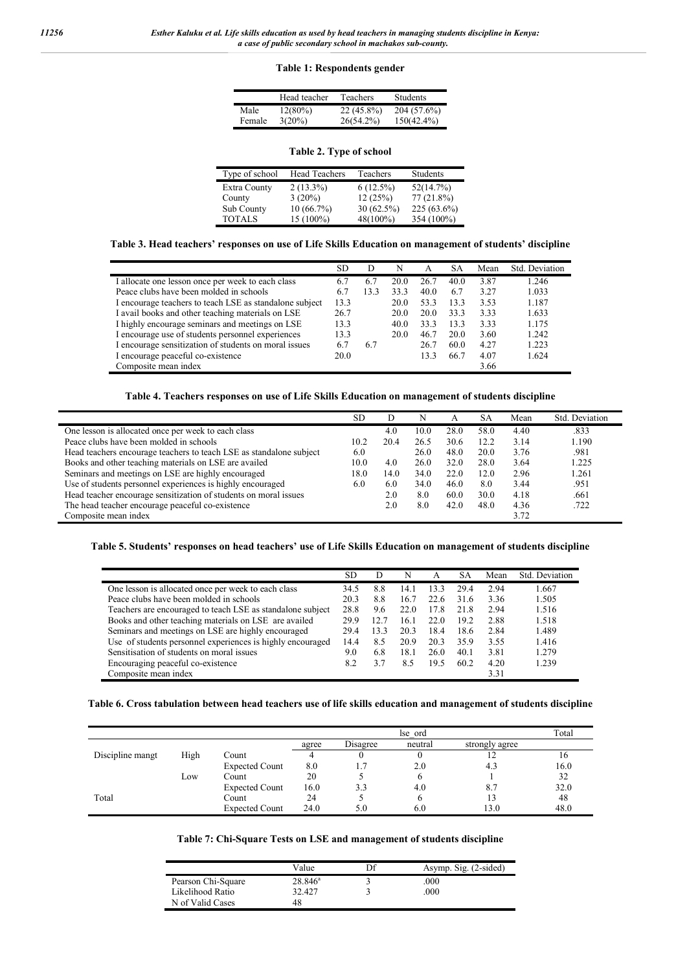### **Table 1: Respondents gender**

|        | Head teacher | Teachers   | <b>Students</b> |
|--------|--------------|------------|-----------------|
| Male   | $12(80\%)$   | 22 (45.8%) | 204 (57.6%)     |
| Female | $3(20\%)$    | 26(54.2%)  | $150(42.4\%)$   |

|  |  |  |  | Table 2. Type of school |
|--|--|--|--|-------------------------|
|--|--|--|--|-------------------------|

| Type of school      | <b>Head Teachers</b> | Teachers     | Students      |
|---------------------|----------------------|--------------|---------------|
| <b>Extra County</b> | $2(13.3\%)$          | $6(12.5\%)$  | 52(14.7%)     |
| County              | $3(20\%)$            | 12(25%)      | $77(21.8\%)$  |
| Sub County          | 10(66.7%)            | $30(62.5\%)$ | $225(63.6\%)$ |
| <b>TOTALS</b>       | $15(100\%)$          | 48(100%)     | 354 (100%)    |

### **Table 3. Head teachers' responses on use of Life Skills Education on management of students' discipline**

|                                                         | SD.  | D    | N    | А    | SА   | Mean | Std. Deviation |
|---------------------------------------------------------|------|------|------|------|------|------|----------------|
| I allocate one lesson once per week to each class       | 6.7  | 6.7  | 20.0 | 26.7 | 40.0 | 3.87 | 1.246          |
| Peace clubs have been molded in schools                 | 6.7  | 13.3 | 33.3 | 40.0 | 6.7  | 3.27 | 1.033          |
| I encourage teachers to teach LSE as standalone subject | 13.3 |      | 20.0 | 53.3 | 13.3 | 3.53 | 1.187          |
| I avail books and other teaching materials on LSE       | 26.7 |      | 20.0 | 20.0 | 33.3 | 3.33 | 1.633          |
| I highly encourage seminars and meetings on LSE         | 13.3 |      | 40.0 | 33.3 | 13.3 | 3.33 | 1.175          |
| I encourage use of students personnel experiences       | 13.3 |      | 20.0 | 46.7 | 20.0 | 3.60 | 1.242          |
| I encourage sensitization of students on moral issues   | 6.7  | 6.7  |      | 26.7 | 60.0 | 4.27 | 1.223          |
| I encourage peaceful co-existence                       | 20.0 |      |      | 13.3 | 66.7 | 4.07 | 1.624          |
| Composite mean index                                    |      |      |      |      |      | 3.66 |                |

### **Table 4. Teachers responses on use of Life Skills Education on management of students discipline**

|                                                                     | <b>SD</b> | D    | N    | А    | SА   | Mean | Std. Deviation |
|---------------------------------------------------------------------|-----------|------|------|------|------|------|----------------|
| One lesson is allocated once per week to each class                 |           | 4.0  | 10.0 | 28.0 | 58.0 | 4.40 | .833           |
| Peace clubs have been molded in schools                             | 10.2      | 20.4 | 26.5 | 30.6 | 12.2 | 3.14 | 1.190          |
| Head teachers encourage teachers to teach LSE as standalone subject | 6.0       |      | 26.0 | 48.0 | 20.0 | 3.76 | .981           |
| Books and other teaching materials on LSE are availed               | 10.0      | 4.0  | 26.0 | 32.0 | 28.0 | 3.64 | 1.225          |
| Seminars and meetings on LSE are highly encouraged                  | 18.0      | 14.0 | 34.0 | 22.0 | 12.0 | 2.96 | 1.261          |
| Use of students personnel experiences is highly encouraged          | 6.0       | 6.0  | 34.0 | 46.0 | 8.0  | 3.44 | .951           |
| Head teacher encourage sensitization of students on moral issues    |           | 2.0  | 8.0  | 60.0 | 30.0 | 4.18 | .661           |
| The head teacher encourage peaceful co-existence                    |           | 2.0  | 8.0  | 42.0 | 48.0 | 4.36 | .722           |
| Composite mean index                                                |           |      |      |      |      | 3.72 |                |

#### **Table 5. Students' responses on head teachers' use of Life Skills Education on management of students discipline**

|                                                            | SD.  |      | N    | А    | SА   | Mean | Std. Deviation |
|------------------------------------------------------------|------|------|------|------|------|------|----------------|
| One lesson is allocated once per week to each class        | 34.5 | 8.8  | 14.1 | 13.3 | 29.4 | 2.94 | 1.667          |
| Peace clubs have been molded in schools                    | 20.3 | 8.8  | 16.7 | 22.6 | 31.6 | 3.36 | 1.505          |
| Teachers are encouraged to teach LSE as standalone subject | 28.8 | 9.6  | 22.0 | 17.8 | 21.8 | 2.94 | 1.516          |
| Books and other teaching materials on LSE are availed      | 29.9 | 12.7 | 16.1 | 22.0 | 19.2 | 2.88 | 1.518          |
| Seminars and meetings on LSE are highly encouraged         | 29.4 | 13.3 | 20.3 | 18.4 | 18.6 | 2.84 | 1.489          |
| Use of students personnel experiences is highly encouraged | 14.4 | 8.5  | 20.9 | 20.3 | 35.9 | 3.55 | 1.416          |
| Sensitisation of students on moral issues                  | 9.0  | 6.8  | 18.1 | 26.0 | 40.1 | 3.81 | 1.279          |
| Encouraging peaceful co-existence                          | 8.2  | 3.7  | 8.5  | 19.5 | 60.2 | 4.20 | 1.239          |
| Composite mean index                                       |      |      |      |      |      | 3.31 |                |

### **Table 6. Cross tabulation between head teachers use of life skills education and management of students discipline**

|                  |      |                       |       |          | lse ord |                | Total |
|------------------|------|-----------------------|-------|----------|---------|----------------|-------|
|                  |      |                       | agree | Disagree | neutral | strongly agree |       |
| Discipline mangt | High | Count                 |       |          |         | 12             | 16    |
|                  |      | <b>Expected Count</b> | 8.0   | 1.7      | 2.0     | 4.3            | 16.0  |
|                  | Low  | Count                 | 20    |          |         |                | 32    |
|                  |      | <b>Expected Count</b> | 16.0  | 3.3      | 4.0     | 8.7            | 32.0  |
| Total            |      | Count                 | 24    |          |         |                | 48    |
|                  |      | <b>Expected Count</b> | 24.0  | 5.0      | 6.0     | 13.0           | 48.0  |

|  |  |  | Table 7: Chi-Square Tests on LSE and management of students discipline |  |
|--|--|--|------------------------------------------------------------------------|--|
|--|--|--|------------------------------------------------------------------------|--|

|                    | Value      | Df | Asymp. Sig. (2-sided) |
|--------------------|------------|----|-----------------------|
| Pearson Chi-Square | $28.846^a$ |    | .000                  |
| Likelihood Ratio   | 32.427     |    | .000                  |
| N of Valid Cases   | 48         |    |                       |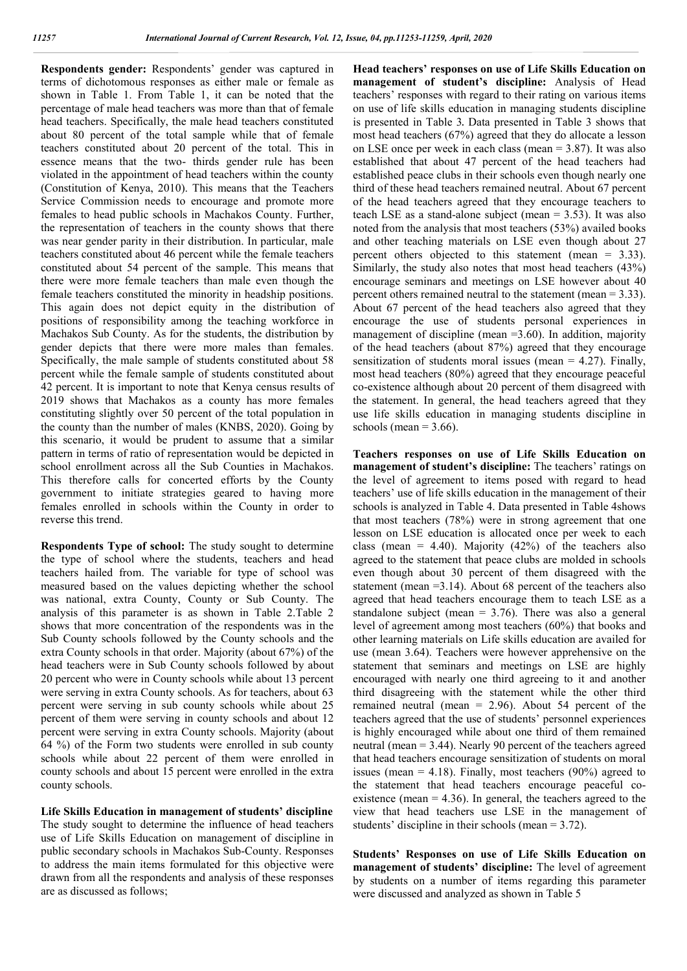**Respondents gender:** Respondents' gender was captured in terms of dichotomous responses as either male or female as shown in Table 1. From Table 1, it can be noted that the percentage of male head teachers was more than that of female head teachers. Specifically, the male head teachers constituted about 80 percent of the total sample while that of female teachers constituted about 20 percent of the total. This in essence means that the two- thirds gender rule has been violated in the appointment of head teachers within the county (Constitution of Kenya, 2010). This means that the Teachers Service Commission needs to encourage and promote more females to head public schools in Machakos County. Further, the representation of teachers in the county shows that there was near gender parity in their distribution. In particular, male teachers constituted about 46 percent while the female teachers constituted about 54 percent of the sample. This means that there were more female teachers than male even though the female teachers constituted the minority in headship positions. This again does not depict equity in the distribution of positions of responsibility among the teaching workforce in Machakos Sub County. As for the students, the distribution by gender depicts that there were more males than females. Specifically, the male sample of students constituted about 58 percent while the female sample of students constituted about 42 percent. It is important to note that Kenya census results of 2019 shows that Machakos as a county has more females constituting slightly over 50 percent of the total population in the county than the number of males (KNBS, 2020). Going by this scenario, it would be prudent to assume that a similar pattern in terms of ratio of representation would be depicted in school enrollment across all the Sub Counties in Machakos. This therefore calls for concerted efforts by the County government to initiate strategies geared to having more females enrolled in schools within the County in order to reverse this trend.

**Respondents Type of school:** The study sought to determine the type of school where the students, teachers and head teachers hailed from. The variable for type of school was measured based on the values depicting whether the school was national, extra County, County or Sub County. The analysis of this parameter is as shown in Table 2.Table 2 shows that more concentration of the respondents was in the Sub County schools followed by the County schools and the extra County schools in that order. Majority (about 67%) of the head teachers were in Sub County schools followed by about 20 percent who were in County schools while about 13 percent were serving in extra County schools. As for teachers, about 63 percent were serving in sub county schools while about 25 percent of them were serving in county schools and about 12 percent were serving in extra County schools. Majority (about 64 %) of the Form two students were enrolled in sub county schools while about 22 percent of them were enrolled in county schools and about 15 percent were enrolled in the extra county schools.

**Life Skills Education in management of students' discipline** The study sought to determine the influence of head teachers use of Life Skills Education on management of discipline in public secondary schools in Machakos Sub-County. Responses to address the main items formulated for this objective were drawn from all the respondents and analysis of these responses are as discussed as follows;

**Head teachers' responses on use of Life Skills Education on management of student's discipline:** Analysis of Head teachers' responses with regard to their rating on various items on use of life skills education in managing students discipline is presented in Table 3. Data presented in Table 3 shows that most head teachers (67%) agreed that they do allocate a lesson on LSE once per week in each class (mean = 3.87). It was also established that about 47 percent of the head teachers had established peace clubs in their schools even though nearly one third of these head teachers remained neutral. About 67 percent of the head teachers agreed that they encourage teachers to teach LSE as a stand-alone subject (mean = 3.53). It was also noted from the analysis that most teachers (53%) availed books and other teaching materials on LSE even though about 27 percent others objected to this statement (mean = 3.33). Similarly, the study also notes that most head teachers (43%) encourage seminars and meetings on LSE however about 40 percent others remained neutral to the statement (mean = 3.33). About 67 percent of the head teachers also agreed that they encourage the use of students personal experiences in management of discipline (mean =3.60). In addition, majority of the head teachers (about 87%) agreed that they encourage sensitization of students moral issues (mean  $= 4.27$ ). Finally, most head teachers (80%) agreed that they encourage peaceful co-existence although about 20 percent of them disagreed with the statement. In general, the head teachers agreed that they use life skills education in managing students discipline in schools (mean  $=$  3.66).

**Teachers responses on use of Life Skills Education on management of student's discipline:** The teachers' ratings on the level of agreement to items posed with regard to head teachers' use of life skills education in the management of their schools is analyzed in Table 4. Data presented in Table 4shows that most teachers (78%) were in strong agreement that one lesson on LSE education is allocated once per week to each class (mean = 4.40). Majority (42%) of the teachers also agreed to the statement that peace clubs are molded in schools even though about 30 percent of them disagreed with the statement (mean =3.14). About 68 percent of the teachers also agreed that head teachers encourage them to teach LSE as a standalone subject (mean  $= 3.76$ ). There was also a general level of agreement among most teachers (60%) that books and other learning materials on Life skills education are availed for use (mean 3.64). Teachers were however apprehensive on the statement that seminars and meetings on LSE are highly encouraged with nearly one third agreeing to it and another third disagreeing with the statement while the other third remained neutral (mean = 2.96). About 54 percent of the teachers agreed that the use of students' personnel experiences is highly encouraged while about one third of them remained neutral (mean = 3.44). Nearly 90 percent of the teachers agreed that head teachers encourage sensitization of students on moral issues (mean  $= 4.18$ ). Finally, most teachers (90%) agreed to the statement that head teachers encourage peaceful coexistence (mean  $= 4.36$ ). In general, the teachers agreed to the view that head teachers use LSE in the management of students' discipline in their schools (mean = 3.72).

**Students' Responses on use of Life Skills Education on management of students' discipline:** The level of agreement by students on a number of items regarding this parameter were discussed and analyzed as shown in Table 5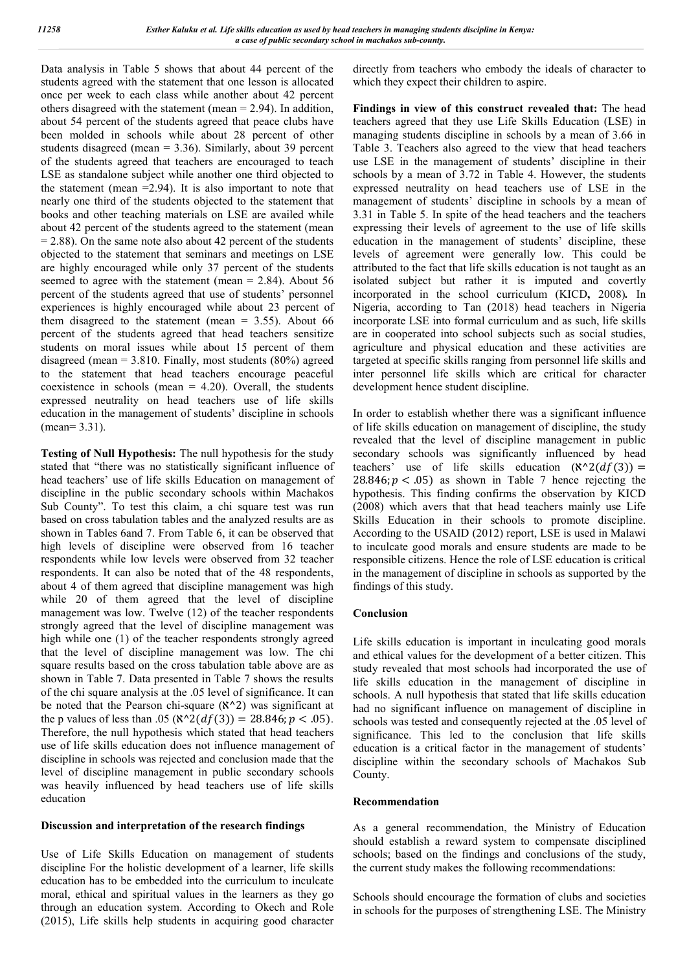Data analysis in Table 5 shows that about 44 percent of the students agreed with the statement that one lesson is allocated once per week to each class while another about 42 percent others disagreed with the statement (mean  $= 2.94$ ). In addition, about 54 percent of the students agreed that peace clubs have been molded in schools while about 28 percent of other students disagreed (mean  $= 3.36$ ). Similarly, about 39 percent of the students agreed that teachers are encouraged to teach LSE as standalone subject while another one third objected to the statement (mean  $=$  2.94). It is also important to note that nearly one third of the students objected to the statement that books and other teaching materials on LSE are availed while about 42 percent of the students agreed to the statement (mean  $= 2.88$ ). On the same note also about 42 percent of the students objected to the statement that seminars and meetings on LSE are highly encouraged while only 37 percent of the students seemed to agree with the statement (mean  $= 2.84$ ). About 56 percent of the students agreed that use of students' personnel experiences is highly encouraged while about 23 percent of them disagreed to the statement (mean  $= 3.55$ ). About 66 percent of the students agreed that head teachers sensitize students on moral issues while about 15 percent of them disagreed (mean =  $3.810$ . Finally, most students (80%) agreed to the statement that head teachers encourage peaceful coexistence in schools (mean  $= 4.20$ ). Overall, the students expressed neutrality on head teachers use of life skills education in the management of students' discipline in schools (mean= 3.31).

**Testing of Null Hypothesis:** The null hypothesis for the study stated that "there was no statistically significant influence of head teachers' use of life skills Education on management of discipline in the public secondary schools within Machakos Sub County". To test this claim, a chi square test was run based on cross tabulation tables and the analyzed results are as shown in Tables 6and 7. From Table 6, it can be observed that high levels of discipline were observed from 16 teacher respondents while low levels were observed from 32 teacher respondents. It can also be noted that of the 48 respondents, about 4 of them agreed that discipline management was high while 20 of them agreed that the level of discipline management was low. Twelve (12) of the teacher respondents strongly agreed that the level of discipline management was high while one (1) of the teacher respondents strongly agreed that the level of discipline management was low. The chi square results based on the cross tabulation table above are as shown in Table 7. Data presented in Table 7 shows the results of the chi square analysis at the .05 level of significance. It can be noted that the Pearson chi-square  $(\aleph^2)$  was significant at the p values of less than .05 ( $\mathcal{R}^2(df(3)) = 28.846; p < .05$ ). Therefore, the null hypothesis which stated that head teachers use of life skills education does not influence management of discipline in schools was rejected and conclusion made that the level of discipline management in public secondary schools was heavily influenced by head teachers use of life skills education

#### **Discussion and interpretation of the research findings**

Use of Life Skills Education on management of students discipline For the holistic development of a learner, life skills education has to be embedded into the curriculum to inculcate moral, ethical and spiritual values in the learners as they go through an education system. According to Okech and Role (2015), Life skills help students in acquiring good character directly from teachers who embody the ideals of character to which they expect their children to aspire.

**Findings in view of this construct revealed that:** The head teachers agreed that they use Life Skills Education (LSE) in managing students discipline in schools by a mean of 3.66 in Table 3. Teachers also agreed to the view that head teachers use LSE in the management of students' discipline in their schools by a mean of 3.72 in Table 4. However, the students expressed neutrality on head teachers use of LSE in the management of students' discipline in schools by a mean of 3.31 in Table 5. In spite of the head teachers and the teachers expressing their levels of agreement to the use of life skills education in the management of students' discipline, these levels of agreement were generally low. This could be attributed to the fact that life skills education is not taught as an isolated subject but rather it is imputed and covertly incorporated in the school curriculum (KICD**,** 2008)*.* In Nigeria, according to Tan (2018) head teachers in Nigeria incorporate LSE into formal curriculum and as such, life skills are in cooperated into school subjects such as social studies, agriculture and physical education and these activities are targeted at specific skills ranging from personnel life skills and inter personnel life skills which are critical for character development hence student discipline.

In order to establish whether there was a significant influence of life skills education on management of discipline, the study revealed that the level of discipline management in public secondary schools was significantly influenced by head teachers' use of life skills education  $(\aleph^{\wedge}2(df(3)) =$ 28.846;  $p < .05$ ) as shown in Table 7 hence rejecting the hypothesis. This finding confirms the observation by KICD (2008) which avers that that head teachers mainly use Life Skills Education in their schools to promote discipline. According to the USAID (2012) report, LSE is used in Malawi to inculcate good morals and ensure students are made to be responsible citizens. Hence the role of LSE education is critical in the management of discipline in schools as supported by the findings of this study.

#### **Conclusion**

Life skills education is important in inculcating good morals and ethical values for the development of a better citizen. This study revealed that most schools had incorporated the use of life skills education in the management of discipline in schools. A null hypothesis that stated that life skills education had no significant influence on management of discipline in schools was tested and consequently rejected at the .05 level of significance. This led to the conclusion that life skills education is a critical factor in the management of students' discipline within the secondary schools of Machakos Sub County.

#### **Recommendation**

As a general recommendation, the Ministry of Education should establish a reward system to compensate disciplined schools; based on the findings and conclusions of the study, the current study makes the following recommendations:

Schools should encourage the formation of clubs and societies in schools for the purposes of strengthening LSE. The Ministry